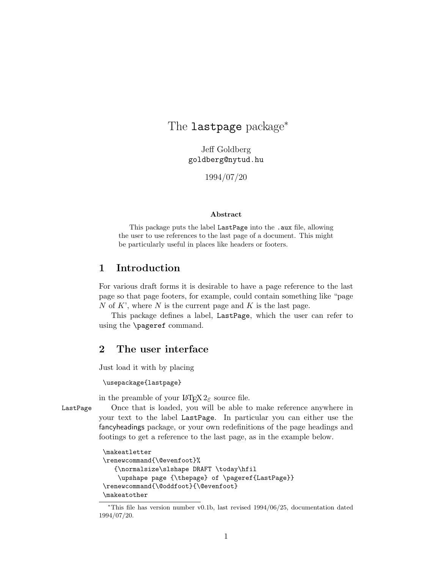# The lastpage package<sup>∗</sup>

Jeff Goldberg goldberg@nytud.hu

1994/07/20

#### Abstract

This package puts the label LastPage into the .aux file, allowing the user to use references to the last page of a document. This might be particularly useful in places like headers or footers.

### 1 Introduction

For various draft forms it is desirable to have a page reference to the last page so that page footers, for example, could contain something like "page N of K', where N is the current page and K is the last page.

This package defines a label, LastPage, which the user can refer to using the \pageref command.

# 2 The user interface

Just load it with by placing

#### \usepackage{lastpage}

in the preamble of your  $\text{LATEX} 2_{\epsilon}$  source file.

LastPage Once that is loaded, you will be able to make reference anywhere in your text to the label LastPage. In particular you can either use the fancyheadings package, or your own redefinitions of the page headings and footings to get a reference to the last page, as in the example below.

```
\makeatletter
\renewcommand{\@evenfoot}%
   {\normalsize\slshape DRAFT \today\hfil
    \upshape page {\thepage} of \pageref{LastPage}}
\renewcommand{\@oddfoot}{\@evenfoot}
\makeatother
```
<sup>∗</sup>This file has version number v0.1b, last revised 1994/06/25, documentation dated 1994/07/20.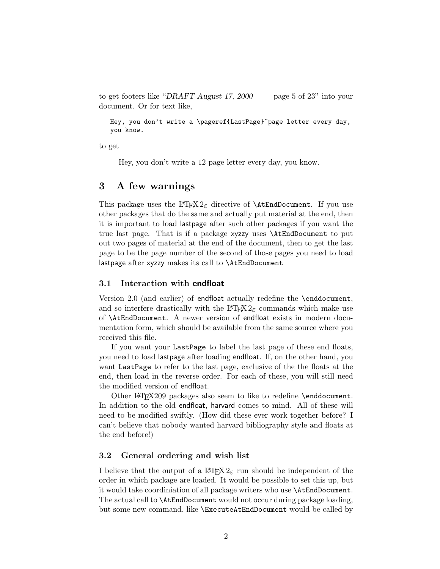to get footers like "DRAFT August 17, 2000 page 5 of 23" into your document. Or for text like,

Hey, you don't write a \pageref{LastPage}~page letter every day, you know.

to get

Hey, you don't write a 12 page letter every day, you know.

### 3 A few warnings

This package uses the LAT<sub>EX</sub>  $2\varepsilon$  directive of **\AtEndDocument.** If you use other packages that do the same and actually put material at the end, then it is important to load lastpage after such other packages if you want the true last page. That is if a package xyzzy uses \AtEndDocument to put out two pages of material at the end of the document, then to get the last page to be the page number of the second of those pages you need to load lastpage after xyzzy makes its call to \AtEndDocument

#### 3.1 Interaction with endfloat

Version 2.0 (and earlier) of endfloat actually redefine the \enddocument, and so interfere drastically with the  $\angle M$ <sub>F</sub>X 2<sub>ε</sub> commands which make use of \AtEndDocument. A newer version of endfloat exists in modern documentation form, which should be available from the same source where you received this file.

If you want your LastPage to label the last page of these end floats, you need to load lastpage after loading endfloat. If, on the other hand, you want LastPage to refer to the last page, exclusive of the the floats at the end, then load in the reverse order. For each of these, you will still need the modified version of endfloat.

Other  $\text{F}X209$  packages also seem to like to redefine \enddocument. In addition to the old endfloat, harvard comes to mind. All of these will need to be modified swiftly. (How did these ever work together before? I can't believe that nobody wanted harvard bibliography style and floats at the end before!)

#### 3.2 General ordering and wish list

I believe that the output of a  $\mathbb{H} \mathbb{F} \times \mathbb{Z}$  run should be independent of the order in which package are loaded. It would be possible to set this up, but it would take coordiniation of all package writers who use \AtEndDocument. The actual call to \AtEndDocument would not occur during package loading, but some new command, like \ExecuteAtEndDocument would be called by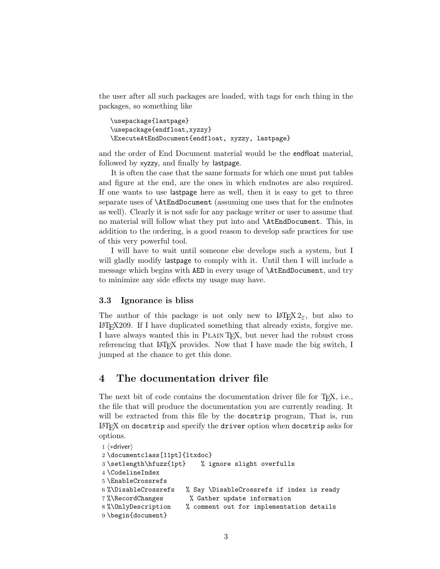the user after all such packages are loaded, with tags for each thing in the packages, so something like

```
\usepackage{lastpage}
\usepackage{endfloat,xyzzy}
\ExecuteAtEndDocument{endfloat, xyzzy, lastpage}
```
and the order of End Document material would be the endfloat material, followed by xyzzy, and finally by lastpage.

It is often the case that the same formats for which one must put tables and figure at the end, are the ones in which endnotes are also required. If one wants to use lastpage here as well, then it is easy to get to three separate uses of \AtEndDocument (assuming one uses that for the endnotes as well). Clearly it is not safe for any package writer or user to assume that no material will follow what they put into and \AtEndDocument. This, in addition to the ordering, is a good reason to develop safe practices for use of this very powerful tool.

I will have to wait until someone else develops such a system, but I will gladly modify lastpage to comply with it. Until then I will include a message which begins with AED in every usage of \AtEndDocument, and try to minimize any side effects my usage may have.

#### 3.3 Ignorance is bliss

The author of this package is not only new to  $\mathbb{E}(\mathbb{E}X \mathbb{E}_z)$  but also to LATEX209. If I have duplicated something that already exists, forgive me. I have always wanted this in Plain TEX, but never had the robust cross referencing that LAT<sub>EX</sub> provides. Now that I have made the big switch, I jumped at the chance to get this done.

## 4 The documentation driver file

The next bit of code contains the documentation driver file for T<sub>E</sub>X, i.e., the file that will produce the documentation you are currently reading. It will be extracted from this file by the docstrip program, That is, run LATEX on docstrip and specify the driver option when docstrip asks for options.

```
1 \langle *driver \rangle2 \documentclass[11pt]{ltxdoc}
3 \setlength\hfuzz{1pt} % ignore slight overfulls
4 \CodelineIndex
5 \EnableCrossrefs
6 %\DisableCrossrefs % Say \DisableCrossrefs if index is ready
7 %\RecordChanges % Gather update information
8 %\OnlyDescription % comment out for implementation details
9 \begin{document}
```